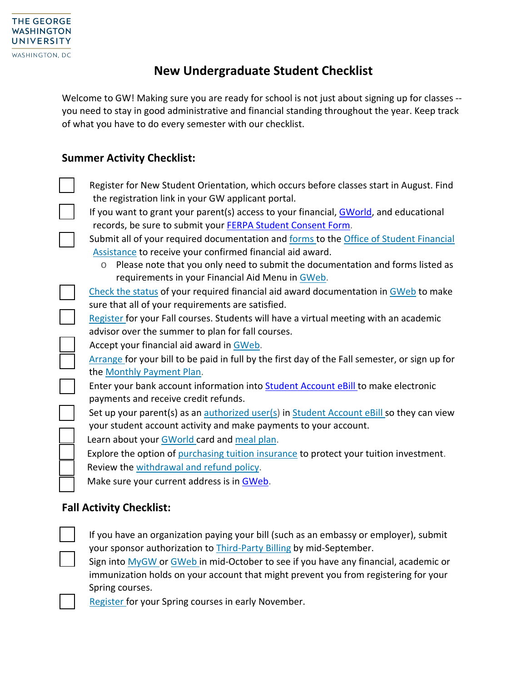## **New Undergraduate Student Checklist**

Welcome to GW! Making sure you are ready for school is not just about signing up for classes -you need to stay in good administrative and financial standing throughout the year. Keep track of what you have to do every semester with our checklist.

## **Summer Activity Checklist:**

Register for New Student Orientation, which occurs before classes start in August. Find the registration link in your GW applicant portal. If you want to grant your parent(s) access to your financial, [GWorld,](https://gworld.gwu.edu/) and educational records, be sure to submit your [FERPA Student Consent Form.](https://esigngw.na2.documents.adobe.com/public/esignWidget?wid=CBFCIBAA3AAABLblqZhCL9S2asCQqpWDSthWTtNDGB7WerrBJqERw4J2yD3rKJ4rLmHUOsXL8VeL3_QDNj8A*) Submit all of your required documentation and [forms](http://financialaid.gwu.edu/forms-documents) to the [Office of Student Financial](http://financialaid.gwu.edu/document-requests) [Assistance](http://financialaid.gwu.edu/document-requests) to receive your confirmed financial aid award.  $\circ$  Please note that you only need to submit the documentation and forms listed as requirements in your Financial Aid Menu in [GWeb.](https://banweb.gwu.edu/) Check [the status](http://financialaid.gwu.edu/whats-gweb) of your required financial aid award documentation in [GWeb](https://banweb.gwu.edu/) to make sure that all of your requirements are satisfied. [Register](http://registrar.gwu.edu/registration) for your Fall courses. Students will have a virtual meeting with an academic advisor over the summer to plan for fall courses. Accept your financial aid award in [GWeb.](https://banweb.gwu.edu/) [Arrange](http://studentaccounts.gwu.edu/how-pay) for your bill to be paid in full by the first day of the Fall semester, or sign up for the [Monthly Payment Plan.](http://studentaccounts.gwu.edu/monthly-payment-plan) Enter your bank account information into **[Student Account eBill](https://it.gwu.edu/gweb)** to make electronic payments and receive credit refunds. Set up your parent(s) as an [authorized user\(s\)](https://studentaccounts.gwu.edu/authorized-user-access) in [Student Account eBill](https://it.gwu.edu/gweb) so they can view your student account activity and make payments to your account. Learn about your [GWorld](http://gworld.gwu.edu/) card and [meal](https://dining.gwu.edu/dining-plans) plan. Explore the option of [purchasing tuition insurance](http://studentaccounts.gwu.edu/tuition-insurance) to protect your tuition investment. Review the [withdrawal and refund policy.](http://registrar.gwu.edu/withdrawals-refunds) Make sure your current address is in [GWeb.](https://banweb.gwu.edu/)

## **Fall Activity Checklist:**

If you have an organization paying your bill (such as an embassy or employer), submit your sponsor authorization to [Third-Party](http://studentaccounts.gwu.edu/third-party-billing) Billing by mid-September. Sign into [MyGW](http://my.gwu.edu/) or [GWeb](http://banweb.gwu.edu/) in mid-October to see if you have any financial, academic or immunization holds on your account that might prevent you from registering for your Spring courses.

[Register](http://registrar.gwu.edu/registration) for your Spring courses in early November.